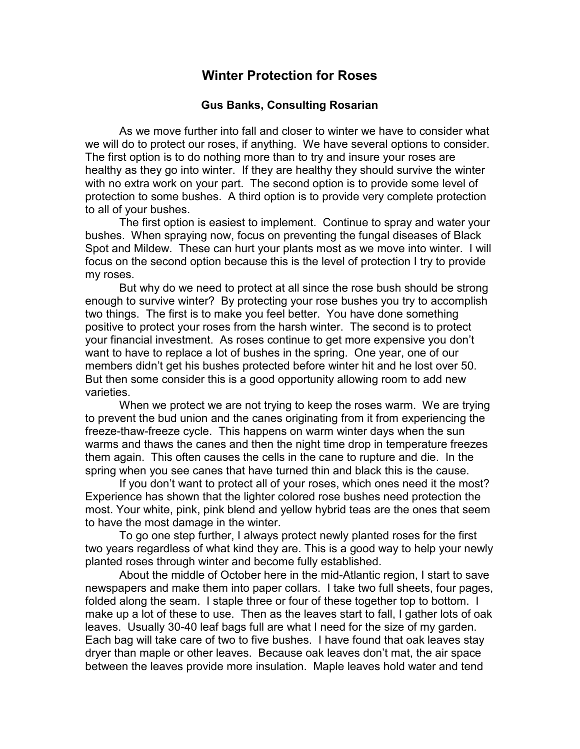## **Winter Protection for Roses**

## **Gus Banks, Consulting Rosarian**

As we move further into fall and closer to winter we have to consider what we will do to protect our roses, if anything. We have several options to consider. The first option is to do nothing more than to try and insure your roses are healthy as they go into winter. If they are healthy they should survive the winter with no extra work on your part. The second option is to provide some level of protection to some bushes. A third option is to provide very complete protection to all of your bushes.

The first option is easiest to implement. Continue to spray and water your bushes. When spraying now, focus on preventing the fungal diseases of Black Spot and Mildew. These can hurt your plants most as we move into winter. I will focus on the second option because this is the level of protection I try to provide my roses.

But why do we need to protect at all since the rose bush should be strong enough to survive winter? By protecting your rose bushes you try to accomplish two things. The first is to make you feel better. You have done something positive to protect your roses from the harsh winter. The second is to protect your financial investment. As roses continue to get more expensive you don't want to have to replace a lot of bushes in the spring. One year, one of our members didn't get his bushes protected before winter hit and he lost over 50. But then some consider this is a good opportunity allowing room to add new varieties.

When we protect we are not trying to keep the roses warm. We are trying to prevent the bud union and the canes originating from it from experiencing the freeze-thaw-freeze cycle. This happens on warm winter days when the sun warms and thaws the canes and then the night time drop in temperature freezes them again. This often causes the cells in the cane to rupture and die. In the spring when you see canes that have turned thin and black this is the cause.

If you don't want to protect all of your roses, which ones need it the most? Experience has shown that the lighter colored rose bushes need protection the most. Your white, pink, pink blend and yellow hybrid teas are the ones that seem to have the most damage in the winter.

To go one step further, I always protect newly planted roses for the first two years regardless of what kind they are. This is a good way to help your newly planted roses through winter and become fully established.

About the middle of October here in the mid-Atlantic region, I start to save newspapers and make them into paper collars. I take two full sheets, four pages, folded along the seam. I staple three or four of these together top to bottom. I make up a lot of these to use. Then as the leaves start to fall, I gather lots of oak leaves. Usually 30-40 leaf bags full are what I need for the size of my garden. Each bag will take care of two to five bushes. I have found that oak leaves stay dryer than maple or other leaves. Because oak leaves don't mat, the air space between the leaves provide more insulation. Maple leaves hold water and tend